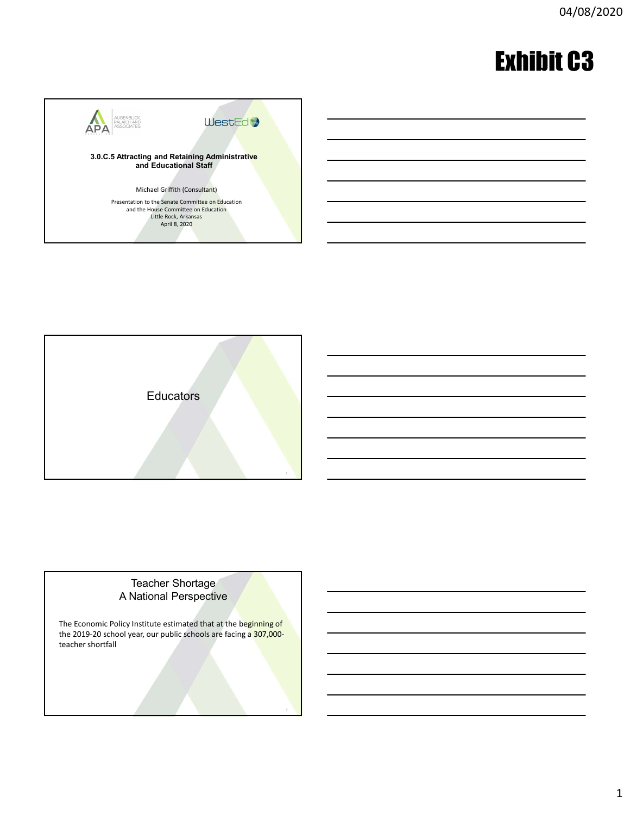# Exhibit C3





# Teacher Shortage<br>A National Perspective

The Economic Policy Institute estimated that at the beginning of the 2019-20 school year, our public schools are facing a 307,000-<br>teacher shortfall teacher shortfall<br>3. All Constants and the constant of the constant of the constant of the constant of the constant of the constant<br>3. All Constants and the constant of the constant of the constant of the constant of the c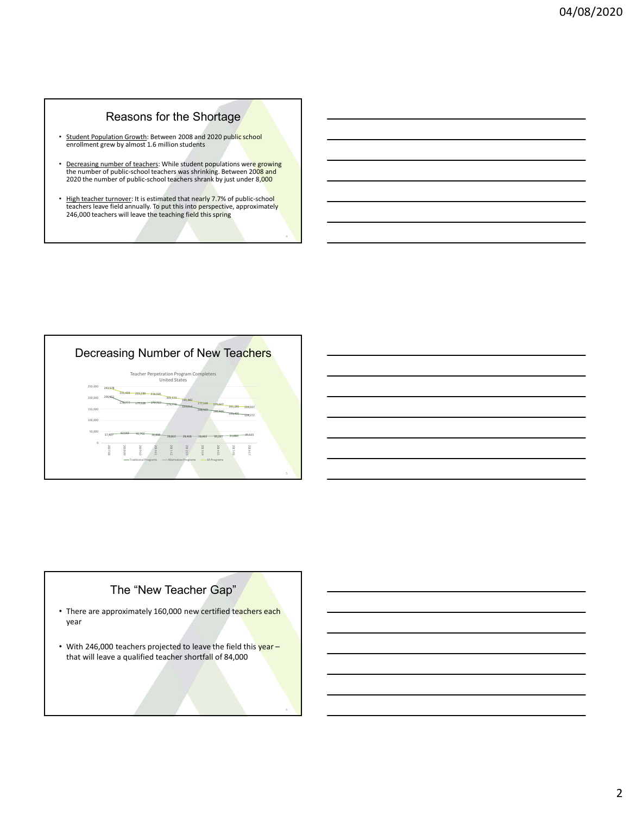# Reasons for the Shortage

- Student Population Growth: Between 2008 and 2020 public school enrollment grew by almost 1.6 million students
- Decreasing number of teachers: While student populations were growing<br>the number of public-school teachers was shrinking. Between 2008 and<br>2020 the number of public-school teachers shrank by just under 8,000
- High teacher turnover: It is estimated that nearly 7.7% of public-school **Fig. 1.1.1.1.1.1.1.1.1.1.1.1.1.1.1.1.** Reasons for the Shortage<br>
Student Population Growth: Setween 2008 and 2020 public school<br>
remomber of the school school school school school<br>
the number of public-school scalence swass primarily. Between 2008 and<br>
2020 the  $246,000$  teachers will leave the teaching field this spring  $\overline{a}$



# The "New Teacher Gap"

- There are approximately 160,000 new certified teachers each year
- With 246,000 teachers projected to leave the field this year that will leave a qualified teacher shortfall of 84,000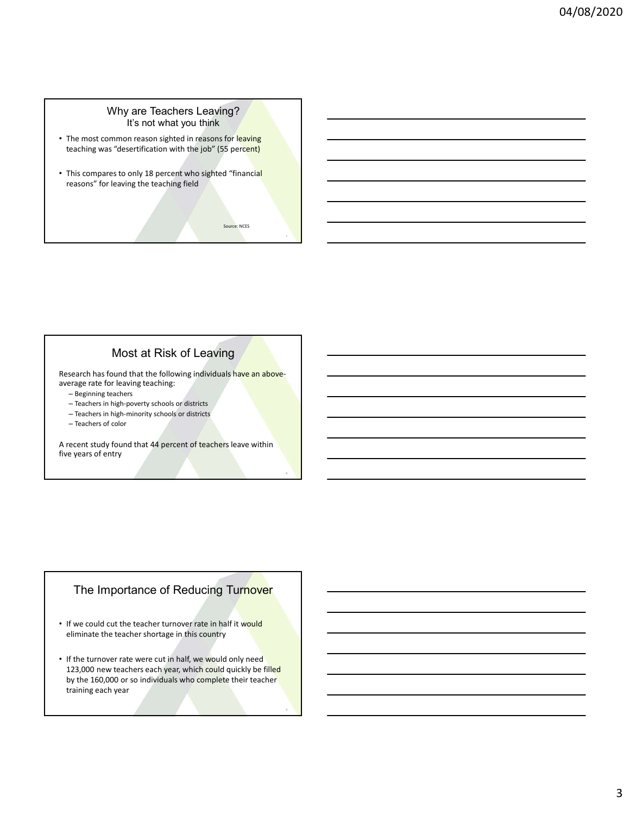#### Why are Teachers Leaving? It's not what you think

- The most common reason sighted in reasons for leaving teaching was "desertification with the job" (55 percent)
- This compares to only 18 percent who sighted "financial reasons" for leaving the teaching field  $\overline{\phantom{a}}$   $\overline{\phantom{a}}$   $\overline{\phantom{a}}$   $\overline{\phantom{a}}$   $\overline{\phantom{a}}$   $\overline{\phantom{a}}$   $\overline{\phantom{a}}$   $\overline{\phantom{a}}$   $\overline{\phantom{a}}$   $\overline{\phantom{a}}$   $\overline{\phantom{a}}$   $\overline{\phantom{a}}$   $\overline{\phantom{a}}$   $\overline{\phantom{a}}$   $\overline{\phantom{a}}$   $\$

Source: NCES

## Most at Risk of Leaving

Research has found that the following individuals have an aboveaverage rate for leaving teaching:

- Beginning teachers
- Teachers in high-poverty schools or districts
- Teachers in high-minority schools or districts
- Teachers of color

A recent study found that 44 percent of teachers leave within five years of entry and the set of entry and the set of entry and the set of entry and the set of entry and the set of entry and the set of entry and the set of entry and the set of entry and the set of entry and the set o

## The Importance of Reducing Turnover

- If we could cut the teacher turnover rate in half it would eliminate the teacher shortage in this country
- If the turnover rate were cut in half, we would only need 123,000 new teachers each year, which could quickly be filled by the 160,000 or so individuals who complete their teacher training each year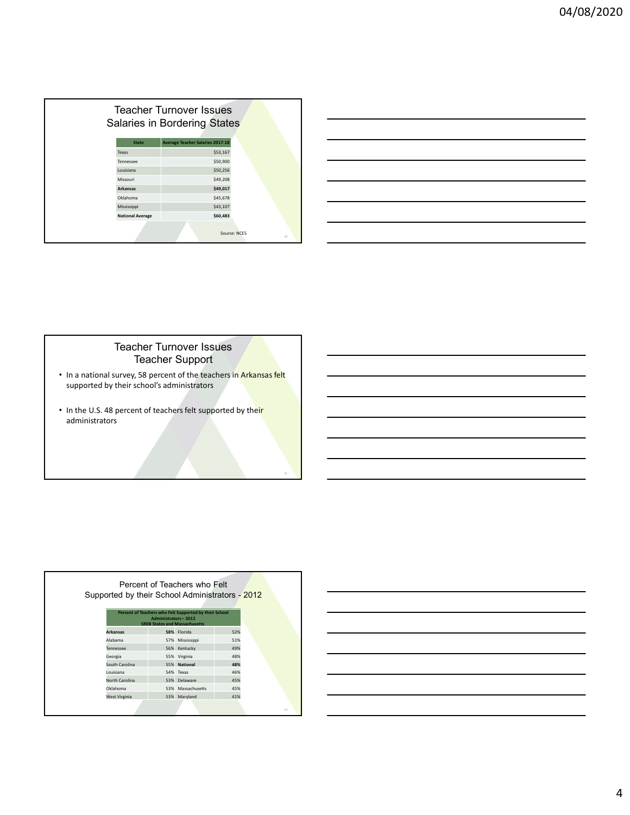|             | <b>Teacher Turnover Issues</b>                          |              |  |
|-------------|---------------------------------------------------------|--------------|--|
|             |                                                         |              |  |
|             | Salaries in Bordering States                            |              |  |
|             |                                                         |              |  |
| Texas       | <b>Average Teacher Salaries 2017-18</b><br><b>State</b> | \$53,167     |  |
| Tennessee   |                                                         | \$50,900     |  |
| Louisiana   |                                                         | \$50,256     |  |
| Missouri    |                                                         | \$49,208     |  |
| Arkansas    |                                                         | \$49,017     |  |
| Oklahoma    |                                                         | \$45,678     |  |
| Mississippi |                                                         | \$43,107     |  |
|             | <b>National Average</b>                                 | \$60,483     |  |
|             |                                                         | Source: NCES |  |
|             |                                                         | $10\,$       |  |

|                                                                                                                      |                                         | 04/08 |
|----------------------------------------------------------------------------------------------------------------------|-----------------------------------------|-------|
|                                                                                                                      |                                         |       |
|                                                                                                                      |                                         |       |
|                                                                                                                      |                                         |       |
|                                                                                                                      |                                         |       |
|                                                                                                                      |                                         |       |
|                                                                                                                      |                                         |       |
|                                                                                                                      |                                         |       |
|                                                                                                                      |                                         |       |
|                                                                                                                      |                                         |       |
|                                                                                                                      |                                         |       |
|                                                                                                                      | Ilaries in Bordering States             |       |
|                                                                                                                      |                                         |       |
| State                                                                                                                | <b>Average Teacher Salaries 2017-18</b> |       |
|                                                                                                                      | \$53,167                                |       |
|                                                                                                                      | \$50,900                                |       |
|                                                                                                                      | \$50,256                                |       |
|                                                                                                                      | \$49,208                                |       |
|                                                                                                                      | \$49,017                                |       |
|                                                                                                                      | \$45,678                                |       |
| <b>Feacher Turnover Issues</b><br>Texas<br>Tennessee<br>Louisiana<br>Missouri<br>Arkansas<br>Oklahoma<br>Mississippi | \$43,107                                |       |
|                                                                                                                      | \$60,483                                |       |
| <b>National Average</b>                                                                                              | Source: NCES                            |       |

## Teacher Turnover Issues Teacher Support

- In a national survey, 58 percent of the teachers in Arkansas felt | The Toman Toward Conservation of the Unio supported by their school's administrators
- In the U.S. 48 percent of teachers felt supported by their administrators 11

|                 | Administrators-2012 | Percent of Teachers who Felt Supported by their School<br><b>SREB States and Massachusetts</b> |     |
|-----------------|---------------------|------------------------------------------------------------------------------------------------|-----|
| <b>Arkansas</b> |                     | 58% Florida                                                                                    | 52% |
| Alabama         | 57%                 | Mississippi                                                                                    | 51% |
| Tennessee       | 56%                 | Kentucky                                                                                       | 49% |
| Georgia         |                     | 55% Virginia                                                                                   | 48% |
| South Carolina  |                     | 55% National                                                                                   | 48% |
| Louisiana       |                     | 54% Texas                                                                                      | 46% |
| North Carolina  | 53%                 | Delaware                                                                                       | 45% |
| Oklahoma        | 53%                 | Massachusetts                                                                                  | 45% |
| West Virginia   |                     | 53% Maryland                                                                                   | 41% |

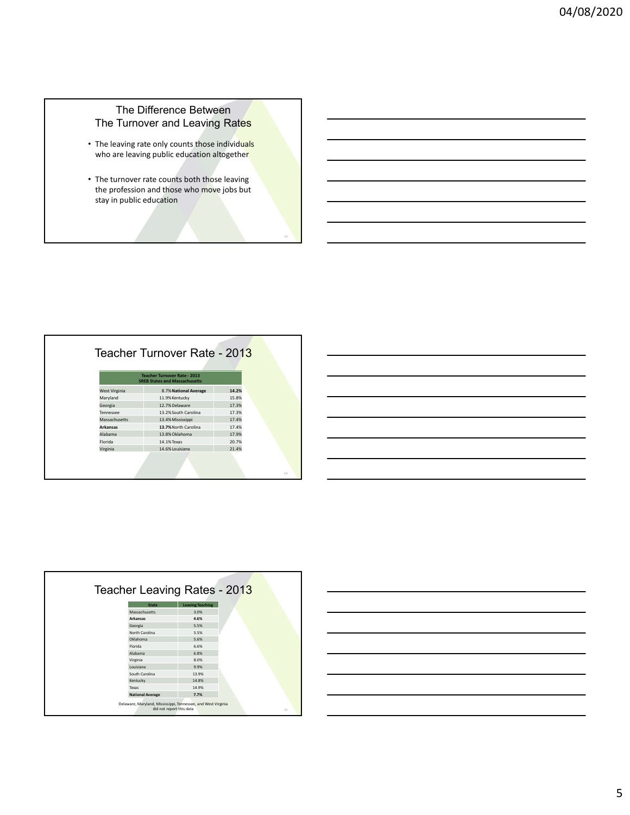## The Difference Between The Turnover and Leaving Rates

- The leaving rate only counts those individuals **Fig. 1** Fig. 1 who are leaving public education altogether and the state of the state of the state of the state of the state o
- The turnover rate counts both those leaving the profession and those who move jobs but stay in public education

| The Difference Between<br>The Turnover and Leaving Rates<br>• The leaving rate only counts those individuals<br>who are leaving public education altogether<br>• The turnover rate counts both those leaving<br>the profession and those who move jobs but<br>stay in public education<br>13<br>Teacher Turnover Rate - 2013<br><b>Teacher Turnover Rate - 2013</b><br><b>SREB States and Massachusetts</b><br>8.7% National Average<br>14.2%<br>West Virginia<br>Maryland<br>11.9% Kentucky<br>15.8%<br>12.7% Delaware<br>17.3%<br>Georgia<br>13.2% South Carolina<br>17.3%<br>Tennessee<br>13.4% Mississippi<br>17.4%<br>Massachusetts<br>13.7% North Carolina<br>Arkansas<br>17.4%<br>13.8% Oklahoma<br>17.9%<br>Alabama<br>Florida<br>14.1% Texas<br>20.7%<br>14.6% Louisiana<br>21.4%<br>Virginia<br>$14\,$ |  |  |  |  |  |
|------------------------------------------------------------------------------------------------------------------------------------------------------------------------------------------------------------------------------------------------------------------------------------------------------------------------------------------------------------------------------------------------------------------------------------------------------------------------------------------------------------------------------------------------------------------------------------------------------------------------------------------------------------------------------------------------------------------------------------------------------------------------------------------------------------------|--|--|--|--|--|
|                                                                                                                                                                                                                                                                                                                                                                                                                                                                                                                                                                                                                                                                                                                                                                                                                  |  |  |  |  |  |
|                                                                                                                                                                                                                                                                                                                                                                                                                                                                                                                                                                                                                                                                                                                                                                                                                  |  |  |  |  |  |
|                                                                                                                                                                                                                                                                                                                                                                                                                                                                                                                                                                                                                                                                                                                                                                                                                  |  |  |  |  |  |
|                                                                                                                                                                                                                                                                                                                                                                                                                                                                                                                                                                                                                                                                                                                                                                                                                  |  |  |  |  |  |
|                                                                                                                                                                                                                                                                                                                                                                                                                                                                                                                                                                                                                                                                                                                                                                                                                  |  |  |  |  |  |
|                                                                                                                                                                                                                                                                                                                                                                                                                                                                                                                                                                                                                                                                                                                                                                                                                  |  |  |  |  |  |
|                                                                                                                                                                                                                                                                                                                                                                                                                                                                                                                                                                                                                                                                                                                                                                                                                  |  |  |  |  |  |
|                                                                                                                                                                                                                                                                                                                                                                                                                                                                                                                                                                                                                                                                                                                                                                                                                  |  |  |  |  |  |
|                                                                                                                                                                                                                                                                                                                                                                                                                                                                                                                                                                                                                                                                                                                                                                                                                  |  |  |  |  |  |
|                                                                                                                                                                                                                                                                                                                                                                                                                                                                                                                                                                                                                                                                                                                                                                                                                  |  |  |  |  |  |
|                                                                                                                                                                                                                                                                                                                                                                                                                                                                                                                                                                                                                                                                                                                                                                                                                  |  |  |  |  |  |
|                                                                                                                                                                                                                                                                                                                                                                                                                                                                                                                                                                                                                                                                                                                                                                                                                  |  |  |  |  |  |
|                                                                                                                                                                                                                                                                                                                                                                                                                                                                                                                                                                                                                                                                                                                                                                                                                  |  |  |  |  |  |
|                                                                                                                                                                                                                                                                                                                                                                                                                                                                                                                                                                                                                                                                                                                                                                                                                  |  |  |  |  |  |
|                                                                                                                                                                                                                                                                                                                                                                                                                                                                                                                                                                                                                                                                                                                                                                                                                  |  |  |  |  |  |
|                                                                                                                                                                                                                                                                                                                                                                                                                                                                                                                                                                                                                                                                                                                                                                                                                  |  |  |  |  |  |
|                                                                                                                                                                                                                                                                                                                                                                                                                                                                                                                                                                                                                                                                                                                                                                                                                  |  |  |  |  |  |
|                                                                                                                                                                                                                                                                                                                                                                                                                                                                                                                                                                                                                                                                                                                                                                                                                  |  |  |  |  |  |
|                                                                                                                                                                                                                                                                                                                                                                                                                                                                                                                                                                                                                                                                                                                                                                                                                  |  |  |  |  |  |
|                                                                                                                                                                                                                                                                                                                                                                                                                                                                                                                                                                                                                                                                                                                                                                                                                  |  |  |  |  |  |
|                                                                                                                                                                                                                                                                                                                                                                                                                                                                                                                                                                                                                                                                                                                                                                                                                  |  |  |  |  |  |
|                                                                                                                                                                                                                                                                                                                                                                                                                                                                                                                                                                                                                                                                                                                                                                                                                  |  |  |  |  |  |
|                                                                                                                                                                                                                                                                                                                                                                                                                                                                                                                                                                                                                                                                                                                                                                                                                  |  |  |  |  |  |
|                                                                                                                                                                                                                                                                                                                                                                                                                                                                                                                                                                                                                                                                                                                                                                                                                  |  |  |  |  |  |
|                                                                                                                                                                                                                                                                                                                                                                                                                                                                                                                                                                                                                                                                                                                                                                                                                  |  |  |  |  |  |
|                                                                                                                                                                                                                                                                                                                                                                                                                                                                                                                                                                                                                                                                                                                                                                                                                  |  |  |  |  |  |
|                                                                                                                                                                                                                                                                                                                                                                                                                                                                                                                                                                                                                                                                                                                                                                                                                  |  |  |  |  |  |
|                                                                                                                                                                                                                                                                                                                                                                                                                                                                                                                                                                                                                                                                                                                                                                                                                  |  |  |  |  |  |
|                                                                                                                                                                                                                                                                                                                                                                                                                                                                                                                                                                                                                                                                                                                                                                                                                  |  |  |  |  |  |
|                                                                                                                                                                                                                                                                                                                                                                                                                                                                                                                                                                                                                                                                                                                                                                                                                  |  |  |  |  |  |
|                                                                                                                                                                                                                                                                                                                                                                                                                                                                                                                                                                                                                                                                                                                                                                                                                  |  |  |  |  |  |
|                                                                                                                                                                                                                                                                                                                                                                                                                                                                                                                                                                                                                                                                                                                                                                                                                  |  |  |  |  |  |
|                                                                                                                                                                                                                                                                                                                                                                                                                                                                                                                                                                                                                                                                                                                                                                                                                  |  |  |  |  |  |
|                                                                                                                                                                                                                                                                                                                                                                                                                                                                                                                                                                                                                                                                                                                                                                                                                  |  |  |  |  |  |
|                                                                                                                                                                                                                                                                                                                                                                                                                                                                                                                                                                                                                                                                                                                                                                                                                  |  |  |  |  |  |
|                                                                                                                                                                                                                                                                                                                                                                                                                                                                                                                                                                                                                                                                                                                                                                                                                  |  |  |  |  |  |
|                                                                                                                                                                                                                                                                                                                                                                                                                                                                                                                                                                                                                                                                                                                                                                                                                  |  |  |  |  |  |
|                                                                                                                                                                                                                                                                                                                                                                                                                                                                                                                                                                                                                                                                                                                                                                                                                  |  |  |  |  |  |
|                                                                                                                                                                                                                                                                                                                                                                                                                                                                                                                                                                                                                                                                                                                                                                                                                  |  |  |  |  |  |
|                                                                                                                                                                                                                                                                                                                                                                                                                                                                                                                                                                                                                                                                                                                                                                                                                  |  |  |  |  |  |
|                                                                                                                                                                                                                                                                                                                                                                                                                                                                                                                                                                                                                                                                                                                                                                                                                  |  |  |  |  |  |
|                                                                                                                                                                                                                                                                                                                                                                                                                                                                                                                                                                                                                                                                                                                                                                                                                  |  |  |  |  |  |
|                                                                                                                                                                                                                                                                                                                                                                                                                                                                                                                                                                                                                                                                                                                                                                                                                  |  |  |  |  |  |
|                                                                                                                                                                                                                                                                                                                                                                                                                                                                                                                                                                                                                                                                                                                                                                                                                  |  |  |  |  |  |
|                                                                                                                                                                                                                                                                                                                                                                                                                                                                                                                                                                                                                                                                                                                                                                                                                  |  |  |  |  |  |
|                                                                                                                                                                                                                                                                                                                                                                                                                                                                                                                                                                                                                                                                                                                                                                                                                  |  |  |  |  |  |
|                                                                                                                                                                                                                                                                                                                                                                                                                                                                                                                                                                                                                                                                                                                                                                                                                  |  |  |  |  |  |
|                                                                                                                                                                                                                                                                                                                                                                                                                                                                                                                                                                                                                                                                                                                                                                                                                  |  |  |  |  |  |
|                                                                                                                                                                                                                                                                                                                                                                                                                                                                                                                                                                                                                                                                                                                                                                                                                  |  |  |  |  |  |
|                                                                                                                                                                                                                                                                                                                                                                                                                                                                                                                                                                                                                                                                                                                                                                                                                  |  |  |  |  |  |

| Teacher Leaving Rates - 2013                                  |                          |
|---------------------------------------------------------------|--------------------------|
| <b>State</b>                                                  | <b>Leaving Teaching</b>  |
| Massachusetts                                                 | 3.0%                     |
| Arkansas                                                      | 4.6%                     |
| Georgia                                                       | 5.5%                     |
| North Carolina                                                | 5.5%                     |
| Oklahoma                                                      | 5.6%                     |
| Florida                                                       | 6.6%                     |
| Alabama                                                       | 6.8%                     |
| Virginia                                                      | 8.0%                     |
| Louisiana                                                     | 9.9%                     |
| South Carolina                                                | 13.9%                    |
| Kentucky                                                      | 14.8%                    |
| Texas                                                         | 14.9%                    |
| <b>National Average</b>                                       | 7.7%                     |
| Delaware, Maryland, Mississippi, Tennessee, and West Virginia | did not report this data |

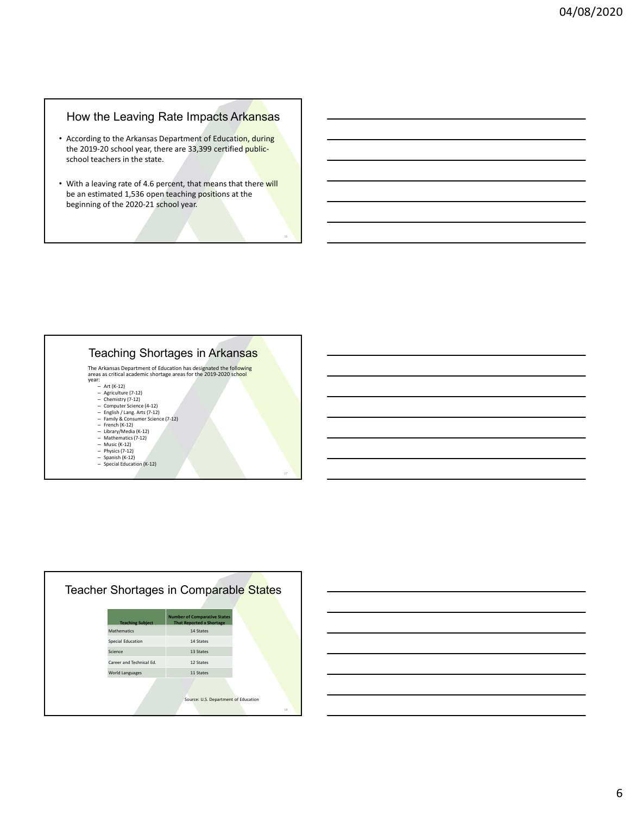# How the Leaving Rate Impacts Arkansas

- According to the Arkansas Department of Education, during the 2019-20 school year, there are 33,399 certified publicschool teachers in the state.
- With a leaving rate of 4.6 percent, that means that there will be an estimated 1,536 open teaching positions at the beginning of the 2020-21 school year.

### Teaching Shortages in Arkansas

The Arkansas Department of Education has designated the following<br>
areas critical academic shortage areas for the 2019-2020 school<br>
year:<br>  $- At (k-12)$ <br>  $-$  Agriculture (7-12)<br>  $-$  Chemistry (7-12)<br>  $-$  Chemistry (7-12)<br>  $-$ 

- 
- 
- 
- 
- 
- 
- 
- 
- Physics (7-12)<br>– Spanish (K-12)<br>– Special Education (K-12) – Special Education (K-12) 17 and 2012 17 and 2012 17 and 2012 17 and 2012 17 and 2012 17 and 2012 17 and 2012 17 and 2012 17 and 2012 17 and 2012 17 and 2012 17 and 2012 17 and 2012 17 and 2012 17 and 2012 17 and 2012 17

|                          | Teacher Shortages in Comparable States                                 |
|--------------------------|------------------------------------------------------------------------|
| <b>Teaching Subject</b>  | <b>Number of Comparative States</b><br><b>That Reported a Shortage</b> |
| Mathematics              | 14 States                                                              |
| Special Education        | 14 States                                                              |
| Science                  | 13 States                                                              |
| Career and Technical Ed. | 12 States                                                              |
| <b>World Languages</b>   | 11 States                                                              |
|                          | Source: U.S. Department of Education                                   |



е производите по представите на селото на селото на селото на селото на селото на селото на селото на селото н<br>Постојата на селото на селото на селото на селото на селото на селото на селото на селото на селото на селото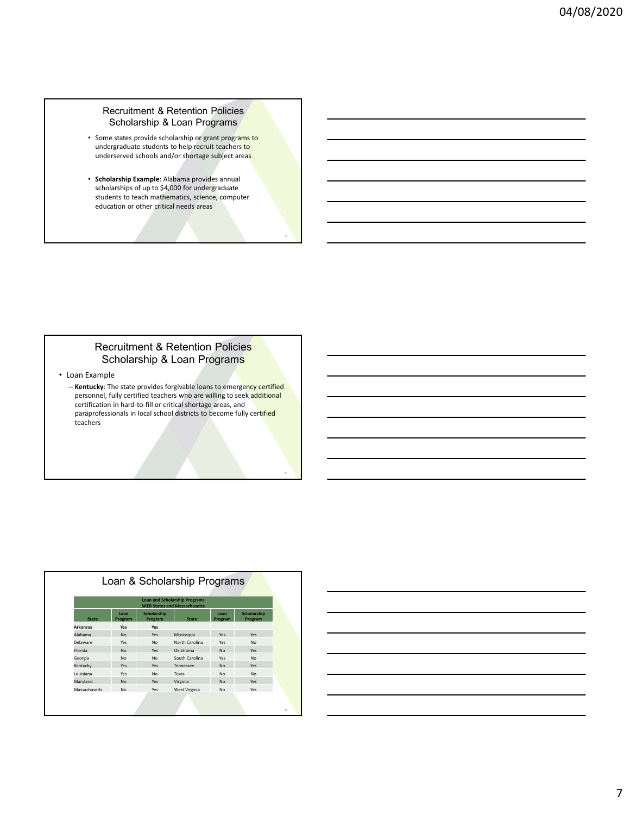#### Recruitment & Retention Policies Scholarship & Loan Programs

- Some states provide scholarship or grant programs to undergraduate students to help recruit teachers to underserved schools and/or shortage subject areas
- Scholarship Example: Alabama provides annual scholarships of up to \$4,000 for undergraduate students to teach mathematics, science, computer education or other critical needs areas

## Recruitment & Retention Policies Scholarship & Loan Programs

• Loan Example

– Kentucky: The state provides forgivable loans to emergency certified personnel, fully certified teachers who are willing to seek **additional part and the part of the set of the set of** certification in hard-to-fill or critical shortage areas, and paraprofessionals in local school districts to become fully certified teachers

|               |                 |                        | <b>Loan and Scholarship Programs</b><br><b>SREB States and Massachusetts</b> |                 |                        |  |
|---------------|-----------------|------------------------|------------------------------------------------------------------------------|-----------------|------------------------|--|
| <b>State</b>  | Loan<br>Program | Scholarship<br>Program | <b>State</b>                                                                 | Loan<br>Program | Scholarship<br>Program |  |
| Arkansas      | Yes             | Yes                    |                                                                              |                 |                        |  |
| Alabama       | No              | Yes                    | Mississippi                                                                  | Yes             | Yes                    |  |
| Delaware      | Yes             | No                     | North Carolina                                                               | Yes             | <b>No</b>              |  |
| Florida       | No              | Yes                    | Oklahoma                                                                     | <b>No</b>       | Yes                    |  |
| Georgia       | No              | No                     | South Carolina                                                               | Yes             | <b>No</b>              |  |
| Kentucky      | Yes             | Yes                    | Tennessee                                                                    | <b>No</b>       | Yes                    |  |
| Louisiana     | Yes             | No                     | Texas                                                                        | No              | <b>No</b>              |  |
| Maryland      | <b>No</b>       | Yes                    | Virginia                                                                     | <b>No</b>       | Yes                    |  |
| Massachusetts | No              | Yes                    | West Virginia                                                                | <b>No</b>       | Yes                    |  |



19 and 20 km started the control of the control of the control of the control of the control of the control of

20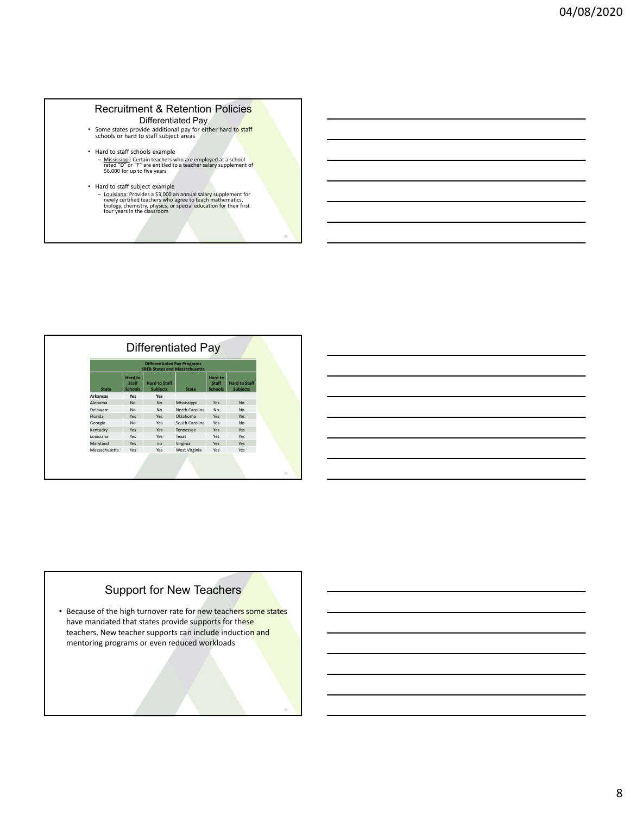#### Recruitment & Retention Policies Differentiated Pay

- Some states provide additional pay for either hard to staff schools or hard to staff subject areas
- Hard to staff schools example – <u>Mississippi:</u> Certain teachers who are employed at a school **or any film of the salar or to construct**<br>| rated "D" or "F" are entitled to a teacher salary supplement of **constructs of the salary supplement of the salary**
- Hard to staff subject example<br>
 <u>Louisiana</u>: Provides a \$3,000 an annual salary supplement for<br>
<u>newly c</u>ertified teachers who agree to teach mathematics,<br>
biology, chemistry, physics, or special education for their fir

| • Hard to staff schools example<br>- Mississippi: Certain teachers who are employed at a school rated "D" or "F" are entitled to a teacher salary supplement of<br>\$6,000 for up to five years<br>• Hard to staff subject example<br>- Louisiana: Provides a \$3,000 an annual salary supplement for<br>newly certified teachers who agree to teach mathematics,<br>biology, chemistry, physics, or special education for their first<br>four years in the classroom<br>$22\,$<br>Differentiated Pay<br><b>Differentiated Pay Programs</b><br><b>SREB States and Massachusetts</b><br>Hard to<br>Hard to<br>Staff<br><b>Hard to Staff</b><br>Staff<br><b>Hard to Staff</b><br><b>Subjects</b><br><b>Schools</b><br>Subjects<br><b>State</b><br>Schools<br><b>State</b><br>Yes<br>Arkansas<br>Yes<br>Alabama<br>No<br>No<br>Mississippi<br>Yes<br>No<br>Delaware<br>No<br>No<br>North Carolina<br>$\mathsf{No}$<br>No<br>Florida<br>Oklahoma<br>Yes<br>Yes<br>Yes<br>Yes<br>Georgia<br>No<br>Yes<br>South Carolina<br>Yes<br>No<br>Kentucky<br>Yes<br>Yes<br>Tennessee<br>Yes<br>Yes<br>Louisiana<br>Yes<br>Yes<br>Yes<br>Yes<br>Texas<br>Maryland<br>Yes<br>no<br>Virginia<br>Yes<br>Yes<br>Massachusetts<br>Yes<br>Yes<br>West Virginia<br>Yes<br>Yes<br>23 |  |  |  |
|---------------------------------------------------------------------------------------------------------------------------------------------------------------------------------------------------------------------------------------------------------------------------------------------------------------------------------------------------------------------------------------------------------------------------------------------------------------------------------------------------------------------------------------------------------------------------------------------------------------------------------------------------------------------------------------------------------------------------------------------------------------------------------------------------------------------------------------------------------------------------------------------------------------------------------------------------------------------------------------------------------------------------------------------------------------------------------------------------------------------------------------------------------------------------------------------------------------------------------------------------------------|--|--|--|
|                                                                                                                                                                                                                                                                                                                                                                                                                                                                                                                                                                                                                                                                                                                                                                                                                                                                                                                                                                                                                                                                                                                                                                                                                                                               |  |  |  |
|                                                                                                                                                                                                                                                                                                                                                                                                                                                                                                                                                                                                                                                                                                                                                                                                                                                                                                                                                                                                                                                                                                                                                                                                                                                               |  |  |  |
|                                                                                                                                                                                                                                                                                                                                                                                                                                                                                                                                                                                                                                                                                                                                                                                                                                                                                                                                                                                                                                                                                                                                                                                                                                                               |  |  |  |
|                                                                                                                                                                                                                                                                                                                                                                                                                                                                                                                                                                                                                                                                                                                                                                                                                                                                                                                                                                                                                                                                                                                                                                                                                                                               |  |  |  |
|                                                                                                                                                                                                                                                                                                                                                                                                                                                                                                                                                                                                                                                                                                                                                                                                                                                                                                                                                                                                                                                                                                                                                                                                                                                               |  |  |  |
|                                                                                                                                                                                                                                                                                                                                                                                                                                                                                                                                                                                                                                                                                                                                                                                                                                                                                                                                                                                                                                                                                                                                                                                                                                                               |  |  |  |
|                                                                                                                                                                                                                                                                                                                                                                                                                                                                                                                                                                                                                                                                                                                                                                                                                                                                                                                                                                                                                                                                                                                                                                                                                                                               |  |  |  |
|                                                                                                                                                                                                                                                                                                                                                                                                                                                                                                                                                                                                                                                                                                                                                                                                                                                                                                                                                                                                                                                                                                                                                                                                                                                               |  |  |  |
|                                                                                                                                                                                                                                                                                                                                                                                                                                                                                                                                                                                                                                                                                                                                                                                                                                                                                                                                                                                                                                                                                                                                                                                                                                                               |  |  |  |
|                                                                                                                                                                                                                                                                                                                                                                                                                                                                                                                                                                                                                                                                                                                                                                                                                                                                                                                                                                                                                                                                                                                                                                                                                                                               |  |  |  |
|                                                                                                                                                                                                                                                                                                                                                                                                                                                                                                                                                                                                                                                                                                                                                                                                                                                                                                                                                                                                                                                                                                                                                                                                                                                               |  |  |  |
|                                                                                                                                                                                                                                                                                                                                                                                                                                                                                                                                                                                                                                                                                                                                                                                                                                                                                                                                                                                                                                                                                                                                                                                                                                                               |  |  |  |
|                                                                                                                                                                                                                                                                                                                                                                                                                                                                                                                                                                                                                                                                                                                                                                                                                                                                                                                                                                                                                                                                                                                                                                                                                                                               |  |  |  |
|                                                                                                                                                                                                                                                                                                                                                                                                                                                                                                                                                                                                                                                                                                                                                                                                                                                                                                                                                                                                                                                                                                                                                                                                                                                               |  |  |  |
|                                                                                                                                                                                                                                                                                                                                                                                                                                                                                                                                                                                                                                                                                                                                                                                                                                                                                                                                                                                                                                                                                                                                                                                                                                                               |  |  |  |
|                                                                                                                                                                                                                                                                                                                                                                                                                                                                                                                                                                                                                                                                                                                                                                                                                                                                                                                                                                                                                                                                                                                                                                                                                                                               |  |  |  |
|                                                                                                                                                                                                                                                                                                                                                                                                                                                                                                                                                                                                                                                                                                                                                                                                                                                                                                                                                                                                                                                                                                                                                                                                                                                               |  |  |  |
|                                                                                                                                                                                                                                                                                                                                                                                                                                                                                                                                                                                                                                                                                                                                                                                                                                                                                                                                                                                                                                                                                                                                                                                                                                                               |  |  |  |
|                                                                                                                                                                                                                                                                                                                                                                                                                                                                                                                                                                                                                                                                                                                                                                                                                                                                                                                                                                                                                                                                                                                                                                                                                                                               |  |  |  |
|                                                                                                                                                                                                                                                                                                                                                                                                                                                                                                                                                                                                                                                                                                                                                                                                                                                                                                                                                                                                                                                                                                                                                                                                                                                               |  |  |  |
|                                                                                                                                                                                                                                                                                                                                                                                                                                                                                                                                                                                                                                                                                                                                                                                                                                                                                                                                                                                                                                                                                                                                                                                                                                                               |  |  |  |
|                                                                                                                                                                                                                                                                                                                                                                                                                                                                                                                                                                                                                                                                                                                                                                                                                                                                                                                                                                                                                                                                                                                                                                                                                                                               |  |  |  |
|                                                                                                                                                                                                                                                                                                                                                                                                                                                                                                                                                                                                                                                                                                                                                                                                                                                                                                                                                                                                                                                                                                                                                                                                                                                               |  |  |  |
|                                                                                                                                                                                                                                                                                                                                                                                                                                                                                                                                                                                                                                                                                                                                                                                                                                                                                                                                                                                                                                                                                                                                                                                                                                                               |  |  |  |
|                                                                                                                                                                                                                                                                                                                                                                                                                                                                                                                                                                                                                                                                                                                                                                                                                                                                                                                                                                                                                                                                                                                                                                                                                                                               |  |  |  |
|                                                                                                                                                                                                                                                                                                                                                                                                                                                                                                                                                                                                                                                                                                                                                                                                                                                                                                                                                                                                                                                                                                                                                                                                                                                               |  |  |  |
|                                                                                                                                                                                                                                                                                                                                                                                                                                                                                                                                                                                                                                                                                                                                                                                                                                                                                                                                                                                                                                                                                                                                                                                                                                                               |  |  |  |
|                                                                                                                                                                                                                                                                                                                                                                                                                                                                                                                                                                                                                                                                                                                                                                                                                                                                                                                                                                                                                                                                                                                                                                                                                                                               |  |  |  |
|                                                                                                                                                                                                                                                                                                                                                                                                                                                                                                                                                                                                                                                                                                                                                                                                                                                                                                                                                                                                                                                                                                                                                                                                                                                               |  |  |  |
|                                                                                                                                                                                                                                                                                                                                                                                                                                                                                                                                                                                                                                                                                                                                                                                                                                                                                                                                                                                                                                                                                                                                                                                                                                                               |  |  |  |
|                                                                                                                                                                                                                                                                                                                                                                                                                                                                                                                                                                                                                                                                                                                                                                                                                                                                                                                                                                                                                                                                                                                                                                                                                                                               |  |  |  |
|                                                                                                                                                                                                                                                                                                                                                                                                                                                                                                                                                                                                                                                                                                                                                                                                                                                                                                                                                                                                                                                                                                                                                                                                                                                               |  |  |  |
|                                                                                                                                                                                                                                                                                                                                                                                                                                                                                                                                                                                                                                                                                                                                                                                                                                                                                                                                                                                                                                                                                                                                                                                                                                                               |  |  |  |
|                                                                                                                                                                                                                                                                                                                                                                                                                                                                                                                                                                                                                                                                                                                                                                                                                                                                                                                                                                                                                                                                                                                                                                                                                                                               |  |  |  |
|                                                                                                                                                                                                                                                                                                                                                                                                                                                                                                                                                                                                                                                                                                                                                                                                                                                                                                                                                                                                                                                                                                                                                                                                                                                               |  |  |  |
|                                                                                                                                                                                                                                                                                                                                                                                                                                                                                                                                                                                                                                                                                                                                                                                                                                                                                                                                                                                                                                                                                                                                                                                                                                                               |  |  |  |
|                                                                                                                                                                                                                                                                                                                                                                                                                                                                                                                                                                                                                                                                                                                                                                                                                                                                                                                                                                                                                                                                                                                                                                                                                                                               |  |  |  |
|                                                                                                                                                                                                                                                                                                                                                                                                                                                                                                                                                                                                                                                                                                                                                                                                                                                                                                                                                                                                                                                                                                                                                                                                                                                               |  |  |  |
|                                                                                                                                                                                                                                                                                                                                                                                                                                                                                                                                                                                                                                                                                                                                                                                                                                                                                                                                                                                                                                                                                                                                                                                                                                                               |  |  |  |
|                                                                                                                                                                                                                                                                                                                                                                                                                                                                                                                                                                                                                                                                                                                                                                                                                                                                                                                                                                                                                                                                                                                                                                                                                                                               |  |  |  |
|                                                                                                                                                                                                                                                                                                                                                                                                                                                                                                                                                                                                                                                                                                                                                                                                                                                                                                                                                                                                                                                                                                                                                                                                                                                               |  |  |  |
|                                                                                                                                                                                                                                                                                                                                                                                                                                                                                                                                                                                                                                                                                                                                                                                                                                                                                                                                                                                                                                                                                                                                                                                                                                                               |  |  |  |
|                                                                                                                                                                                                                                                                                                                                                                                                                                                                                                                                                                                                                                                                                                                                                                                                                                                                                                                                                                                                                                                                                                                                                                                                                                                               |  |  |  |
|                                                                                                                                                                                                                                                                                                                                                                                                                                                                                                                                                                                                                                                                                                                                                                                                                                                                                                                                                                                                                                                                                                                                                                                                                                                               |  |  |  |
|                                                                                                                                                                                                                                                                                                                                                                                                                                                                                                                                                                                                                                                                                                                                                                                                                                                                                                                                                                                                                                                                                                                                                                                                                                                               |  |  |  |
|                                                                                                                                                                                                                                                                                                                                                                                                                                                                                                                                                                                                                                                                                                                                                                                                                                                                                                                                                                                                                                                                                                                                                                                                                                                               |  |  |  |
|                                                                                                                                                                                                                                                                                                                                                                                                                                                                                                                                                                                                                                                                                                                                                                                                                                                                                                                                                                                                                                                                                                                                                                                                                                                               |  |  |  |
|                                                                                                                                                                                                                                                                                                                                                                                                                                                                                                                                                                                                                                                                                                                                                                                                                                                                                                                                                                                                                                                                                                                                                                                                                                                               |  |  |  |
|                                                                                                                                                                                                                                                                                                                                                                                                                                                                                                                                                                                                                                                                                                                                                                                                                                                                                                                                                                                                                                                                                                                                                                                                                                                               |  |  |  |
|                                                                                                                                                                                                                                                                                                                                                                                                                                                                                                                                                                                                                                                                                                                                                                                                                                                                                                                                                                                                                                                                                                                                                                                                                                                               |  |  |  |
|                                                                                                                                                                                                                                                                                                                                                                                                                                                                                                                                                                                                                                                                                                                                                                                                                                                                                                                                                                                                                                                                                                                                                                                                                                                               |  |  |  |
|                                                                                                                                                                                                                                                                                                                                                                                                                                                                                                                                                                                                                                                                                                                                                                                                                                                                                                                                                                                                                                                                                                                                                                                                                                                               |  |  |  |

# Support for New Teachers

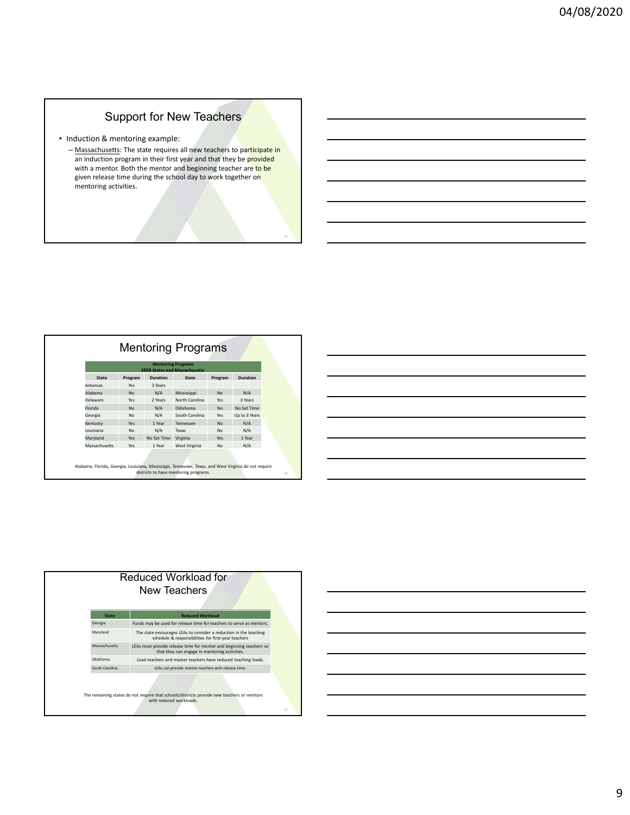# Support for New Teachers

- Induction & mentoring example:
	- Massachusetts: The state requires all new teachers to participate in an induction program in their first year and that they be provided **and the state of the substitution** with a mentor. Both the mentor and beginning teacher are to be given release time during the school day to work together on mentoring activities.

|               |           |                 | <b>Mentoring Programs</b><br><b>SREB States and Massachusetts</b> |           |                 |
|---------------|-----------|-----------------|-------------------------------------------------------------------|-----------|-----------------|
| State         | Program   | <b>Duration</b> | <b>State</b>                                                      | Program   | <b>Duration</b> |
| Arkansas      | Yes       | 3 Years         |                                                                   |           |                 |
| Alabama       | <b>No</b> | N/A             | Mississippi                                                       | <b>No</b> | N/A             |
| Delaware      | Yes       | 2 Years         | North Carolina                                                    | Yes       | 3 Years         |
| Florida       | <b>No</b> | N/A             | Oklahoma                                                          | Yes       | No Set Time     |
| Georgia       | <b>No</b> | N/A             | South Carolina                                                    | Yes       | Up to 3 Years   |
| Kentucky      | Yes       | 1 Year          | Tennessee                                                         | <b>No</b> | N/A             |
| Louisiana     | <b>No</b> | N/A             | Texas                                                             | <b>No</b> | N/A             |
| Maryland      | Yes       | No Set Time     | Virginia                                                          | Yes       | 1 Year          |
| Massachusetts | Yes       | 1 Year          | West Virginia                                                     | <b>No</b> | N/A             |



25 and 25 and 26 and 26 and 26 and 26 and 26 and 26 and 26 and 26 and 26 and 26 and 26 and 26 and 26 and 26 and



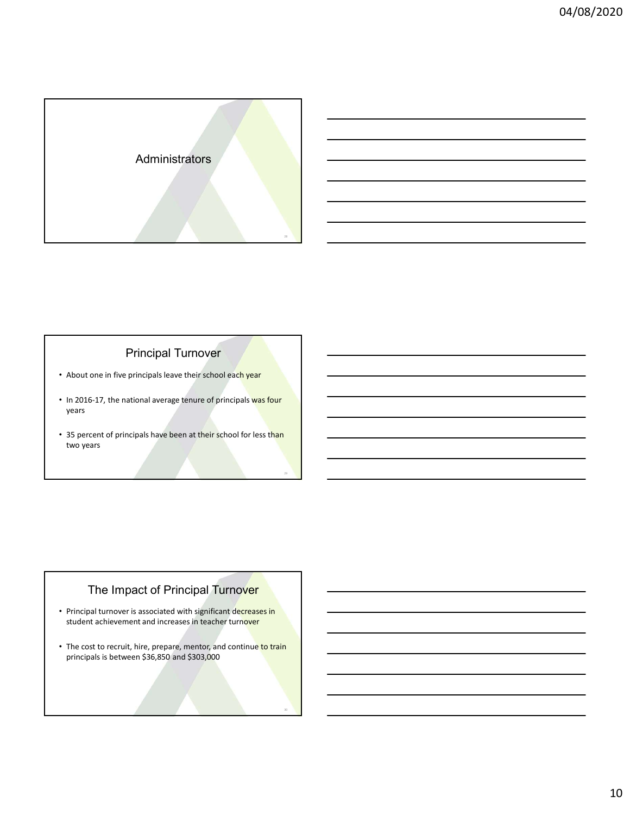

# Principal Turnover

- About one in five principals leave their school each year
- In 2016-17, the national average tenure of principals was four years
- 35 percent of principals have been at their school for less than two years

29

# The Impact of Principal Turnover

- Principal turnover is associated with significant decreases in student achievement and increases in teacher turnover
- The cost to recruit, hire, prepare, mentor, and continue to train principals is between \$36,850 and \$303,000

30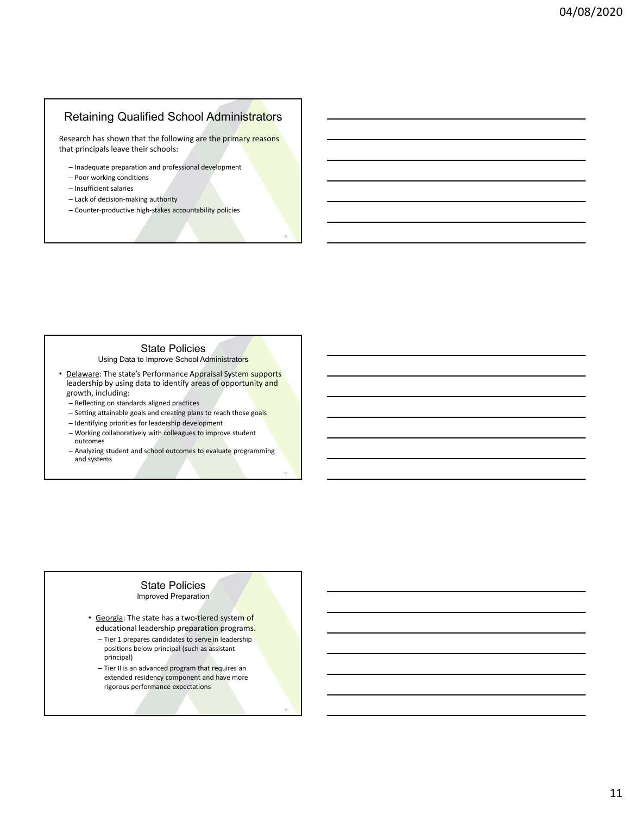## Retaining Qualified School Administrators

Research has shown that the following are the primary reasons that principals leave their schools:

31

32

- Inadequate preparation and professional development
- Poor working conditions
- Insufficient salaries
- Lack of decision-making authority
- Counter-productive high-stakes accountability policies

#### State Policies

Using Data to Improve School Administrators

- Delaware: The state's Performance Appraisal System supports leadership by using data to identify areas of opportunity and growth, including:
	- Reflecting on standards aligned practices
	- Setting attainable goals and creating plans to reach those goals
	- Identifying priorities for leadership development
	- Working collaboratively with colleagues to improve student outcomes
	- Analyzing student and school outcomes to evaluate programming and systems

## State Policies

Improved Preparation

- Georgia: The state has a two-tiered system of educational leadership preparation programs.
	- Tier 1 prepares candidates to serve in leadership positions below principal (such as assistant principal)
	- Tier II is an advanced program that requires an extended residency component and have more rigorous performance expectations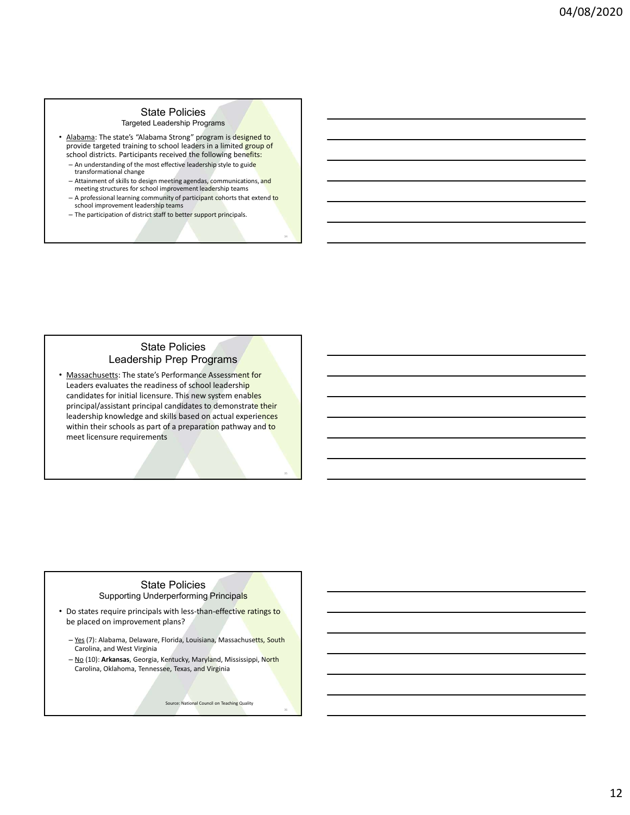## State Policies

Targeted Leadership Programs

- Alabama: The state's "Alabama Strong" program is designed to provide targeted training to school leaders in a limited group of school districts. Participants received the following benefits:
	- An understanding of the most effective leadership style to guide transformational change
	- Attainment of skills to design meeting agendas, communications, and meeting structures for school improvement leadership teams
	- A professional learning community of participant cohorts that extend to school improvement leadership teams

34

36 and 2012 and 2012 and 2012 and 2012 and 2012 and 2012 and 2012 and 2012 and 2012 and 2012 and 2012 and 201

– The participation of district staff to better support principals.

## State Policies Leadership Prep Programs

• Massachusetts: The state's Performance Assessment for Leaders evaluates the readiness of school leadership candidates for initial licensure. This new system enables principal/assistant principal candidates to demonstrate their leadership knowledge and skills based on actual experiences within their schools as part of a preparation pathway and to meet licensure requirements 355 and 355 and 355 and 355 and 355 and 355 and 355 and 355 and 355 and 355 and 355 and 355 and 355 and 355 and 355 and 355 and 355 and 355 and 355 and 355 and 355 and 355 and 355 and 355 and 35 Explaination and Massachusetts, South Carolina, Christian Bandaria (1976)<br>
Analogal Scissicant principal candidates to demonstrate their<br>
exacts the proceed and skill based on actual experiences<br>
Within their schools as pa mincipal/assistant principal candidates to demonstrate their<br>eadership knowledge and skills based on actual experiences<br>within their schools as part of a preparation pathway and to<br>meet licensure requirements<br>to the school

#### State Policies Supporting Underperforming Principals

- Do states require principals with less-than-effective ratings to be placed on improvement plans?
	- Carolina, and West Virginia
	- Carolina, Oklahoma, Tennessee, Texas, and Virginia

Source: National Council on Teaching Quality